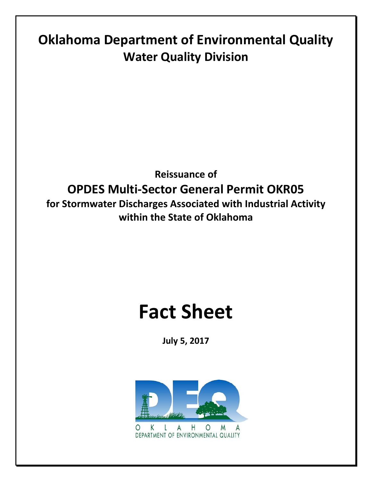# **Oklahoma Department of Environmental Quality Water Quality Division**

# **Reissuance of OPDES Multi-Sector General Permit OKR05 for Stormwater Discharges Associated with Industrial Activity within the State of Oklahoma**

# **Fact Sheet**

**July 5, 2017**



K A Η  $\circ$ M A DEPARTMENT OF ENVIRONMENTAL QUALITY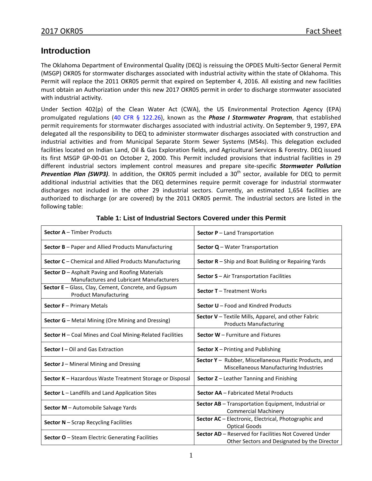# **Introduction**

The Oklahoma Department of Environmental Quality (DEQ) is reissuing the OPDES Multi-Sector General Permit (MSGP) OKR05 for stormwater discharges associated with industrial activity within the state of Oklahoma. This Permit will replace the 2011 OKR05 permit that expired on September 4, 2016. All existing and new facilities must obtain an Authorization under this new 2017 OKR05 permit in order to discharge stormwater associated with industrial activity.

Under Section 402(p) of the Clean Water Act (CWA), the US Environmental Protection Agency (EPA) promulgated regulations [\(40 CFR § 122.26\)](http://www.ecfr.gov/cgi-bin/text-idx?SID=0547c823a7dc745bbc7981d3266c58c0&mc=true&node=pt40.22.122&rgn=div5), known as the *Phase I Stormwater Program*, that established permit requirements for stormwater discharges associated with industrial activity. On September 9, 1997, EPA delegated all the responsibility to DEQ to administer stormwater discharges associated with construction and industrial activities and from Municipal Separate Storm Sewer Systems (MS4s). This delegation excluded facilities located on Indian Land, Oil & Gas Exploration fields, and Agricultural Services & Forestry. DEQ issued its first MSGP GP-00-01 on October 2, 2000. This Permit included provisions that industrial facilities in 29 different industrial sectors implement control measures and prepare site-specific *Stormwater Pollution*  **Prevention Plan (SWP3)**. In addition, the OKR05 permit included a 30<sup>th</sup> sector, available for DEQ to permit additional industrial activities that the DEQ determines require permit coverage for industrial stormwater discharges not included in the other 29 industrial sectors. Currently, an estimated 1,654 facilities are authorized to discharge (or are covered) by the 2011 OKR05 permit. The industrial sectors are listed in the following table:

| <b>Sector A - Timber Products</b>                                                                  | Sector P - Land Transportation                                                                        |
|----------------------------------------------------------------------------------------------------|-------------------------------------------------------------------------------------------------------|
| <b>Sector B</b> – Paper and Allied Products Manufacturing                                          | <b>Sector <math>Q</math></b> – Water Transportation                                                   |
| Sector C - Chemical and Allied Products Manufacturing                                              | Sector R - Ship and Boat Building or Repairing Yards                                                  |
| Sector D - Asphalt Paving and Roofing Materials<br><b>Manufactures and Lubricant Manufacturers</b> | Sector S - Air Transportation Facilities                                                              |
| Sector E - Glass, Clay, Cement, Concrete, and Gypsum<br><b>Product Manufacturing</b>               | <b>Sector T</b> - Treatment Works                                                                     |
| <b>Sector F</b> - Primary Metals                                                                   | Sector U - Food and Kindred Products                                                                  |
| Sector G - Metal Mining (Ore Mining and Dressing)                                                  | Sector V - Textile Mills, Apparel, and other Fabric<br><b>Products Manufacturing</b>                  |
| Sector H - Coal Mines and Coal Mining-Related Facilities                                           | Sector W - Furniture and Fixtures                                                                     |
| Sector I - Oil and Gas Extraction                                                                  | <b>Sector X</b> – Printing and Publishing                                                             |
| Sector J - Mineral Mining and Dressing                                                             | Sector Y - Rubber, Miscellaneous Plastic Products, and<br>Miscellaneous Manufacturing Industries      |
| Sector K - Hazardous Waste Treatment Storage or Disposal                                           | <b>Sector <math>Z</math></b> – Leather Tanning and Finishing                                          |
| Sector L - Landfills and Land Application Sites                                                    | Sector AA - Fabricated Metal Products                                                                 |
| Sector M - Automobile Salvage Yards                                                                | Sector AB - Transportation Equipment, Industrial or<br><b>Commercial Machinery</b>                    |
| Sector N - Scrap Recycling Facilities                                                              | Sector AC - Electronic, Electrical, Photographic and<br><b>Optical Goods</b>                          |
| Sector O - Steam Electric Generating Facilities                                                    | Sector AD - Reserved for Facilities Not Covered Under<br>Other Sectors and Designated by the Director |

#### **Table 1: List of Industrial Sectors Covered under this Permit**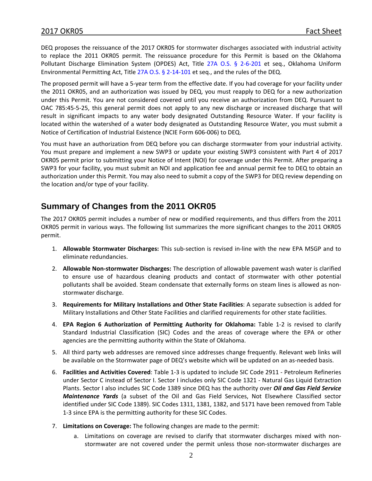DEQ proposes the reissuance of the 2017 OKR05 for stormwater discharges associated with industrial activity to replace the 2011 OKR05 permit. The reissuance procedure for this Permit is based on the Oklahoma Pollutant Discharge Elimination System (OPDES) Act, Title [27A O.S. § 2-6-201](http://www.oscn.net/applications/OCISWeb/DeliverDocument.asp?CiteID=79008) et seq., Oklahoma Uniform Environmental Permitting Act, Title [27A O.S. § 2-14-101](http://www.oscn.net/applications/OCISWeb/Index.asp?ftdb=STOKSTA9&level=1) et seq., and the rules of the DEQ.

The proposed permit will have a 5-year term from the effective date. If you had coverage for your facility under the 2011 OKR05, and an authorization was issued by DEQ, you must reapply to DEQ for a new authorization under this Permit. You are not considered covered until you receive an authorization from DEQ. Pursuant to OAC 785:45-5-25, this general permit does not apply to any new discharge or increased discharge that will result in significant impacts to any water body designated Outstanding Resource Water. If your facility is located within the watershed of a water body designated as Outstanding Resource Water, you must submit a Notice of Certification of Industrial Existence (NCIE Form 606-006) to DEQ.

You must have an authorization from DEQ before you can discharge stormwater from your industrial activity. You must prepare and implement a new SWP3 or update your existing SWP3 consistent with Part 4 of 2017 OKR05 permit prior to submitting your Notice of Intent (NOI) for coverage under this Permit. After preparing a SWP3 for your facility, you must submit an NOI and application fee and annual permit fee to DEQ to obtain an authorization under this Permit. You may also need to submit a copy of the SWP3 for DEQ review depending on the location and/or type of your facility.

# **Summary of Changes from the 2011 OKR05**

The 2017 OKR05 permit includes a number of new or modified requirements, and thus differs from the 2011 OKR05 permit in various ways. The following list summarizes the more significant changes to the 2011 OKR05 permit.

- 1. **Allowable Stormwater Discharges:** This sub-section is revised in-line with the new EPA MSGP and to eliminate redundancies.
- 2. **Allowable Non-stormwater Discharges:** The description of allowable pavement wash water is clarified to ensure use of hazardous cleaning products and contact of stormwater with other potential pollutants shall be avoided. Steam condensate that externally forms on steam lines is allowed as nonstormwater discharge.
- 3. **Requirements for Military Installations and Other State Facilities**: A separate subsection is added for Military Installations and Other State Facilities and clarified requirements for other state facilities.
- 4. **EPA Region 6 Authorization of Permitting Authority for Oklahoma:** Table 1-2 is revised to clarify Standard Industrial Classification (SIC) Codes and the areas of coverage where the EPA or other agencies are the permitting authority within the State of Oklahoma.
- 5. All third party web addresses are removed since addresses change frequently. Relevant web links will be available on the Stormwater page of DEQ's website which will be updated on an as-needed basis.
- 6. **Facilities and Activities Covered**: Table 1-3 is updated to include SIC Code 2911 Petroleum Refineries under Sector C instead of Sector I. Sector I includes only SIC Code 1321 - Natural Gas Liquid Extraction Plants. Sector I also includes SIC Code 1389 since DEQ has the authority over *Oil and Gas Field Service Maintenance Yards* (a subset of the Oil and Gas Field Services, Not Elsewhere Classified sector identified under SIC Code 1389). SIC Codes 1311, 1381, 1382, and 5171 have been removed from Table 1-3 since EPA is the permitting authority for these SIC Codes.
- 7. **Limitations on Coverage:** The following changes are made to the permit:
	- a. Limitations on coverage are revised to clarify that stormwater discharges mixed with nonstormwater are not covered under the permit unless those non-stormwater discharges are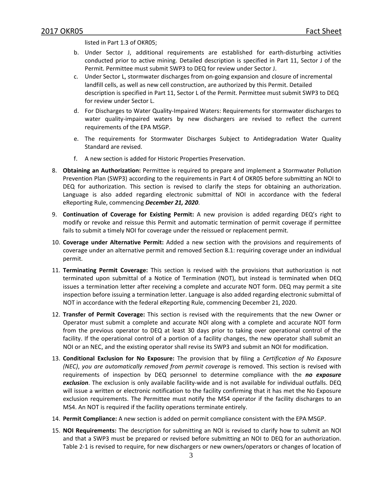listed in Part 1.3 of OKR05;

- b. Under Sector J, additional requirements are established for earth-disturbing activities conducted prior to active mining. Detailed description is specified in Part 11, Sector J of the Permit. Permittee must submit SWP3 to DEQ for review under Sector J.
- c. Under Sector L, stormwater discharges from on-going expansion and closure of incremental landfill cells, as well as new cell construction, are authorized by this Permit. Detailed description is specified in Part 11, Sector L of the Permit. Permittee must submit SWP3 to DEQ for review under Sector L.
- d. For Discharges to Water Quality-Impaired Waters: Requirements for stormwater discharges to water quality-impaired waters by new dischargers are revised to reflect the current requirements of the EPA MSGP.
- e. The requirements for Stormwater Discharges Subject to Antidegradation Water Quality Standard are revised.
- f. A new section is added for Historic Properties Preservation.
- 8. **Obtaining an Authorization:** Permittee is required to prepare and implement a Stormwater Pollution Prevention Plan (SWP3) according to the requirements in Part 4 of OKR05 before submitting an NOI to DEQ for authorization. This section is revised to clarify the steps for obtaining an authorization. Language is also added regarding electronic submittal of NOI in accordance with the federal eReporting Rule, commencing *December 21, 2020*.
- 9. **Continuation of Coverage for Existing Permit:** A new provision is added regarding DEQ's right to modify or revoke and reissue this Permit and automatic termination of permit coverage if permittee fails to submit a timely NOI for coverage under the reissued or replacement permit.
- 10. **Coverage under Alternative Permit:** Added a new section with the provisions and requirements of coverage under an alternative permit and removed Section 8.1: requiring coverage under an individual permit.
- 11. **Terminating Permit Coverage:** This section is revised with the provisions that authorization is not terminated upon submittal of a Notice of Termination (NOT), but instead is terminated when DEQ issues a termination letter after receiving a complete and accurate NOT form. DEQ may permit a site inspection before issuing a termination letter. Language is also added regarding electronic submittal of NOT in accordance with the federal eReporting Rule, commencing December 21, 2020.
- 12. **Transfer of Permit Coverage:** This section is revised with the requirements that the new Owner or Operator must submit a complete and accurate NOI along with a complete and accurate NOT form from the previous operator to DEQ at least 30 days prior to taking over operational control of the facility. If the operational control of a portion of a facility changes, the new operator shall submit an NOI or an NEC, and the existing operator shall revise its SWP3 and submit an NOI for modification.
- 13. **Conditional Exclusion for No Exposure:** The provision that by filing a *Certification of No Exposure (NEC)*, *you are automatically removed from permit coverage* is removed. This section is revised with requirements of inspection by DEQ personnel to determine compliance with the *no exposure exclusion*. The exclusion is only available facility-wide and is not available for individual outfalls. DEQ will issue a written or electronic notification to the facility confirming that it has met the No Exposure exclusion requirements. The Permittee must notify the MS4 operator if the facility discharges to an MS4. An NOT is required if the facility operations terminate entirely.
- 14. **Permit Compliance:** A new section is added on permit compliance consistent with the EPA MSGP.
- 15. **NOI Requirements:** The description for submitting an NOI is revised to clarify how to submit an NOI and that a SWP3 must be prepared or revised before submitting an NOI to DEQ for an authorization. Table 2-1 is revised to require, for new dischargers or new owners/operators or changes of location of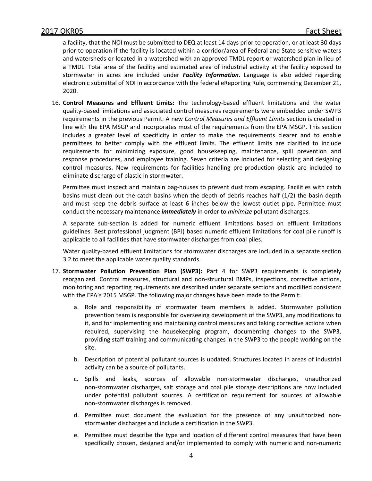a facility, that the NOI must be submitted to DEQ at least 14 days prior to operation, or at least 30 days prior to operation if the facility is located within a corridor/area of Federal and State sensitive waters and watersheds or located in a watershed with an approved TMDL report or watershed plan in lieu of a TMDL. Total area of the facility and estimated area of industrial activity at the facility exposed to stormwater in acres are included under *Facility Information*. Language is also added regarding electronic submittal of NOI in accordance with the federal eReporting Rule, commencing December 21, 2020.

16. **Control Measures and Effluent Limits:** The technology-based effluent limitations and the water quality-based limitations and associated control measures requirements were embedded under SWP3 requirements in the previous Permit. A new *Control Measures and Effluent Limits* section is created in line with the EPA MSGP and incorporates most of the requirements from the EPA MSGP. This section includes a greater level of specificity in order to make the requirements clearer and to enable permittees to better comply with the effluent limits. The effluent limits are clarified to include requirements for minimizing exposure, good housekeeping, maintenance, spill prevention and response procedures, and employee training. Seven criteria are included for selecting and designing control measures. New requirements for facilities handling pre-production plastic are included to eliminate discharge of plastic in stormwater.

Permittee must inspect and maintain bag-houses to prevent dust from escaping. Facilities with catch basins must clean out the catch basins when the depth of debris reaches half (1/2) the basin depth and must keep the debris surface at least 6 inches below the lowest outlet pipe. Permittee must conduct the necessary maintenance *immediately* in order to *minimize* pollutant discharges.

A separate sub-section is added for numeric effluent limitations based on effluent limitations guidelines. Best professional judgment (BPJ) based numeric effluent limitations for coal pile runoff is applicable to all facilities that have stormwater discharges from coal piles.

Water quality-based effluent limitations for stormwater discharges are included in a separate section 3.2 to meet the applicable water quality standards.

- 17. **Stormwater Pollution Prevention Plan (SWP3):** Part 4 for SWP3 requirements is completely reorganized. Control measures, structural and non-structural BMPs, inspections, corrective actions, monitoring and reporting requirements are described under separate sections and modified consistent with the EPA's 2015 MSGP. The following major changes have been made to the Permit:
	- a. Role and responsibility of stormwater team members is added. Stormwater pollution prevention team is responsible for overseeing development of the SWP3, any modifications to it, and for implementing and maintaining control measures and taking corrective actions when required, supervising the housekeeping program, documenting changes to the SWP3, providing staff training and communicating changes in the SWP3 to the people working on the site.
	- b. Description of potential pollutant sources is updated. Structures located in areas of industrial activity can be a source of pollutants.
	- c. Spills and leaks, sources of allowable non-stormwater discharges, unauthorized non-stormwater discharges, salt storage and coal pile storage descriptions are now included under potential pollutant sources. A certification requirement for sources of allowable non-stormwater discharges is removed.
	- d. Permittee must document the evaluation for the presence of any unauthorized nonstormwater discharges and include a certification in the SWP3.
	- e. Permittee must describe the type and location of different control measures that have been specifically chosen, designed and/or implemented to comply with numeric and non-numeric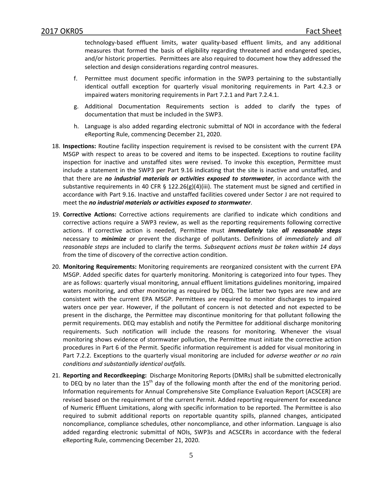technology-based effluent limits, water quality-based effluent limits, and any additional measures that formed the basis of eligibility regarding threatened and endangered species, and/or historic properties. Permittees are also required to document how they addressed the selection and design considerations regarding control measures.

- f. Permittee must document specific information in the SWP3 pertaining to the substantially identical outfall exception for quarterly visual monitoring requirements in Part 4.2.3 or impaired waters monitoring requirements in Part 7.2.1 and Part 7.2.4.1.
- g. Additional Documentation Requirements section is added to clarify the types of documentation that must be included in the SWP3.
- h. Language is also added regarding electronic submittal of NOI in accordance with the federal eReporting Rule, commencing December 21, 2020.
- 18. **Inspections:** Routine facility inspection requirement is revised to be consistent with the current EPA MSGP with respect to areas to be covered and items to be inspected. Exceptions to routine facility inspection for inactive and unstaffed sites were revised. To invoke this exception, Permittee must include a statement in the SWP3 per Part 9.16 indicating that the site is inactive and unstaffed, and that there are *no industrial materials or activities exposed to stormwater*, in accordance with the substantive requirements in 40 CFR § 122.26(g)(4)(iii). The statement must be signed and certified in accordance with Part 9.16. Inactive and unstaffed facilities covered under Sector J are not required to meet the *no industrial materials or activities exposed to stormwater*.
- 19. **Corrective Actions:** Corrective actions requirements are clarified to indicate which conditions and corrective actions require a SWP3 review, as well as the reporting requirements following corrective actions. If corrective action is needed, Permittee must *immediately* take *all reasonable steps* necessary to *minimize* or prevent the discharge of pollutants. Definitions of *immediately* and *all reasonable steps* are included to clarify the terms*. Subsequent actions must be taken within 14 days* from the time of discovery of the corrective action condition.
- 20. **Monitoring Requirements:** Monitoring requirements are reorganized consistent with the current EPA MSGP. Added specific dates for quarterly monitoring. Monitoring is categorized into four types. They are as follows: quarterly visual monitoring, annual effluent limitations guidelines monitoring, impaired waters monitoring, and other monitoring as required by DEQ. The latter two types are new and are consistent with the current EPA MSGP. Permittees are required to monitor discharges to impaired waters once per year. However, if the pollutant of concern is not detected and not expected to be present in the discharge, the Permittee may discontinue monitoring for that pollutant following the permit requirements. DEQ may establish and notify the Permittee for additional discharge monitoring requirements. Such notification will include the reasons for monitoring. Whenever the visual monitoring shows evidence of stormwater pollution, the Permittee must initiate the corrective action procedures in Part 6 of the Permit. Specific information requirement is added for visual monitoring in Part 7.2.2. Exceptions to the quarterly visual monitoring are included for *adverse weather or no rain conditions and substantially identical outfalls.*
- 21. **Reporting and Recordkeeping:** Discharge Monitoring Reports (DMRs) shall be submitted electronically to DEQ by no later than the  $15<sup>th</sup>$  day of the following month after the end of the monitoring period. Information requirements for Annual Comprehensive Site Compliance Evaluation Report (ACSCER) are revised based on the requirement of the current Permit. Added reporting requirement for exceedance of Numeric Effluent Limitations, along with specific information to be reported. The Permittee is also required to submit additional reports on reportable quantity spills, planned changes, anticipated noncompliance, compliance schedules, other noncompliance, and other information. Language is also added regarding electronic submittal of NOIs, SWP3s and ACSCERs in accordance with the federal eReporting Rule, commencing December 21, 2020.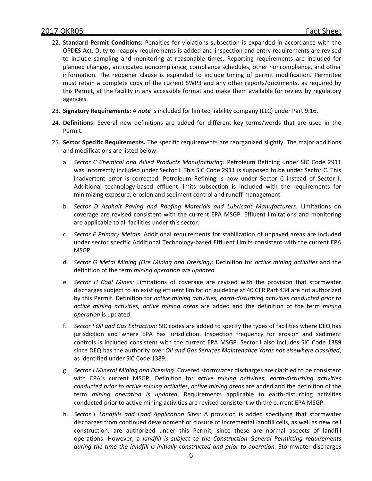- 22. **Standard Permit Conditions:** Penalties for violations subsection is expanded in accordance with the OPDES Act. Duty to reapply requirements is added and inspection and entry requirements are revised to include sampling and monitoring at reasonable times. Reporting requirements are included for planned changes, anticipated noncompliance, compliance schedules, other noncompliance, and other information. The reopener clause is expanded to include timing of permit modification. Permittee must retain a complete copy of the current SWP3 and any other reports/documents, as required by this Permit, at the facility in any accessible format and make them available for review by regulatory agencies.
- 23. **Signatory Requirements:** A *note* is included for limited liability company (LLC) under Part 9.16.
- 24. **Definitions:** Several new definitions are added for different key terms/words that are used in the Permit.
- 25. **Sector Specific Requirements.** The specific requirements are reorganized slightly. The major additions and modifications are listed below:
	- a. *Sector C Chemical and Allied Products Manufacturing:* Petroleum Refining under SIC Code 2911 was incorrectly included under Sector I. This SIC Code 2911 is supposed to be under Sector C. This inadvertent error is corrected. Petroleum Refining is now under Sector C instead of Sector I. Additional technology-based effluent limits subsection is included with the requirements for minimizing exposure, erosion and sediment control and runoff management.
	- b. *Sector D Asphalt Paving and Roofing Materials and Lubricant Manufacturers:* Limitations on coverage are revised consistent with the current EPA MSGP. Effluent limitations and monitoring are applicable to all facilities under this sector.
	- c. *Sector F Primary Metals:* Additional requirements for stabilization of unpaved areas are included under sector specific Additional Technology-based Effluent Limits consistent with the current EPA MSGP.
	- d. *Sector G Metal Mining (Ore Mining and Dressing):* Definition for *active mining activities* and the definition of the term *mining operation are updated.*
	- e. *Sector H Coal Mines:* Limitations of coverage are revised with the provision that stormwater discharges subject to an existing effluent limitation guideline at 40 CFR Part 434 are not authorized by this Permit. Definition for *active mining activities, earth-disturbing activities conducted prior to active mining activities, active mining areas* are added and the definition of the term *mining operation* is updated.
	- f. *Sector I Oil and Gas Extraction:* SIC codes are added to specify the types of facilities where DEQ has jurisdiction and where EPA has jurisdiction. Inspection frequency for erosion and sediment controls is included consistent with the current EPA MSGP. Sector I also includes SIC Code 1389 since DEQ has the authority over *Oil and Gas Services Maintenance Yards not elsewhere classified*, as identified under SIC Code 1389.
	- g. *Sector J Mineral Mining and Dressing:* Covered stormwater discharges are clarified to be consistent with EPA's current MSGP. Definition for *active mining activities*, *earth-disturbing activities conducted prior to active mining activities*, *active mining areas* are added and the definition of the term *mining operation is updated*. Requirements applicable to earth-disturbing activities conducted prior to active mining activities are revised consistent with the current EPA MSGP.
	- h. *Sector L Landfills and Land Application Sites:* A provision is added specifying that stormwater discharges from continued development or closure of incremental landfill cells, as well as new cell construction, are authorized under this Permit, since these are normal aspects of landfill operations. However, a *landfill is subject to the Construction General Permitting requirements during the time the landfill is initially constructed and prior to operation.* Stormwater discharges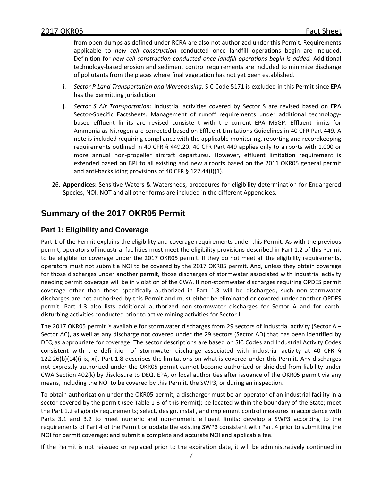from open dumps as defined under RCRA are also not authorized under this Permit. Requirements applicable to *new cell construction* conducted once landfill operations begin are included. Definition for *new cell construction conducted once landfill operations begin is added.* Additional technology-based erosion and sediment control requirements are included to minimize discharge of pollutants from the places where final vegetation has not yet been established.

- i. *Sector P Land Transportation and Warehousing:* SIC Code 5171 is excluded in this Permit since EPA has the permitting jurisdiction.
- j. *Sector S Air Transportation:* Industrial activities covered by Sector S are revised based on EPA Sector-Specific Factsheets. Management of runoff requirements under additional technologybased effluent limits are revised consistent with the current EPA MSGP. Effluent limits for Ammonia as Nitrogen are corrected based on Effluent Limitations Guidelines in 40 CFR Part 449. A note is included requiring compliance with the applicable monitoring, reporting and recordkeeping requirements outlined in 40 CFR § 449.20. 40 CFR Part 449 applies only to airports with 1,000 or more annual non-propeller aircraft departures. However, effluent limitation requirement is extended based on BPJ to all existing and new airports based on the 2011 OKR05 general permit and anti-backsliding provisions of 40 CFR § 122.44(l)(1).
- 26. **Appendices:** Sensitive Waters & Watersheds, procedures for eligibility determination for Endangered Species, NOI, NOT and all other forms are included in the different Appendices.

# **Summary of the 2017 OKR05 Permit**

# **Part 1: Eligibility and Coverage**

Part 1 of the Permit explains the eligibility and coverage requirements under this Permit. As with the previous permit, operators of industrial facilities must meet the eligibility provisions described in Part 1.2 of this Permit to be eligible for coverage under the 2017 OKR05 permit. If they do not meet all the eligibility requirements, operators must not submit a NOI to be covered by the 2017 OKR05 permit. And, unless they obtain coverage for those discharges under another permit, those discharges of stormwater associated with industrial activity needing permit coverage will be in violation of the CWA. If non-stormwater discharges requiring OPDES permit coverage other than those specifically authorized in Part 1.3 will be discharged, such non-stormwater discharges are not authorized by this Permit and must either be eliminated or covered under another OPDES permit. Part 1.3 also lists additional authorized non-stormwater discharges for Sector A and for earthdisturbing activities conducted prior to active mining activities for Sector J.

The 2017 OKR05 permit is available for stormwater discharges from 29 sectors of industrial activity (Sector A – Sector AC), as well as any discharge not covered under the 29 sectors (Sector AD) that has been identified by DEQ as appropriate for coverage. The sector descriptions are based on SIC Codes and Industrial Activity Codes consistent with the definition of stormwater discharge associated with industrial activity at 40 CFR § 122.26(b)(14)(i-ix, xi). Part 1.8 describes the limitations on what is covered under this Permit. Any discharges not expressly authorized under the OKR05 permit cannot become authorized or shielded from liability under CWA Section 402(k) by disclosure to DEQ, EPA, or local authorities after issuance of the OKR05 permit via any means, including the NOI to be covered by this Permit, the SWP3, or during an inspection.

To obtain authorization under the OKR05 permit, a discharger must be an operator of an industrial facility in a sector covered by the permit (see Table 1-3 of this Permit); be located within the boundary of the State; meet the Part 1.2 eligibility requirements; select, design, install, and implement control measures in accordance with Parts 3.1 and 3.2 to meet numeric and non-numeric effluent limits; develop a SWP3 according to the requirements of Part 4 of the Permit or update the existing SWP3 consistent with Part 4 prior to submitting the NOI for permit coverage; and submit a complete and accurate NOI and applicable fee.

If the Permit is not reissued or replaced prior to the expiration date, it will be administratively continued in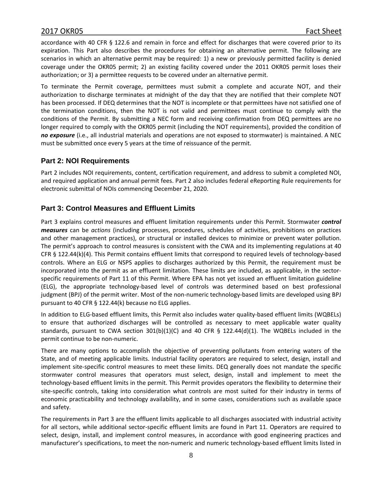accordance with 40 CFR § 122.6 and remain in force and effect for discharges that were covered prior to its expiration. This Part also describes the procedures for obtaining an alternative permit. The following are scenarios in which an alternative permit may be required: 1) a new or previously permitted facility is denied coverage under the OKR05 permit; 2) an existing facility covered under the 2011 OKR05 permit loses their authorization; or 3) a permittee requests to be covered under an alternative permit.

To terminate the Permit coverage, permittees must submit a complete and accurate NOT, and their authorization to discharge terminates at midnight of the day that they are notified that their complete NOT has been processed. If DEQ determines that the NOT is incomplete or that permittees have not satisfied one of the termination conditions, then the NOT is not valid and permittees must continue to comply with the conditions of the Permit. By submitting a NEC form and receiving confirmation from DEQ permittees are no longer required to comply with the OKR05 permit (including the NOT requirements), provided the condition of *no exposure* (i.e., all industrial materials and operations are not exposed to stormwater) is maintained. A NEC must be submitted once every 5 years at the time of reissuance of the permit.

#### **Part 2: NOI Requirements**

Part 2 includes NOI requirements, content, certification requirement, and address to submit a completed NOI, and required application and annual permit fees. Part 2 also includes federal eReporting Rule requirements for electronic submittal of NOIs commencing December 21, 2020.

# **Part 3: Control Measures and Effluent Limits**

Part 3 explains control measures and effluent limitation requirements under this Permit. Stormwater *control measures* can be *actions* (including processes, procedures, schedules of activities, prohibitions on practices and other management practices), or structural or installed devices to minimize or prevent water pollution. The permit's approach to control measures is consistent with the CWA and its implementing regulations at 40 CFR § 122.44(k)(4). This Permit contains effluent limits that correspond to required levels of technology-based controls. Where an ELG or NSPS applies to discharges authorized by this Permit, the requirement must be incorporated into the permit as an effluent limitation. These limits are included, as applicable, in the sectorspecific requirements of Part 11 of this Permit. Where EPA has not yet issued an effluent limitation guideline (ELG), the appropriate technology-based level of controls was determined based on best professional judgment (BPJ) of the permit writer. Most of the non-numeric technology-based limits are developed using BPJ pursuant to 40 CFR § 122.44(k) because no ELG applies.

In addition to ELG-based effluent limits, this Permit also includes water quality-based effluent limits (WQBELs) to ensure that authorized discharges will be controlled as necessary to meet applicable water quality standards, pursuant to CWA section 301(b)(1)(C) and 40 CFR § 122.44(d)(1). The WQBELs included in the permit continue to be non-numeric.

There are many options to accomplish the objective of preventing pollutants from entering waters of the State, and of meeting applicable limits. Industrial facility operators are required to select, design, install and implement site-specific control measures to meet these limits. DEQ generally does not mandate the specific stormwater control measures that operators must select, design, install and implement to meet the technology-based effluent limits in the permit. This Permit provides operators the flexibility to determine their site-specific controls, taking into consideration what controls are most suited for their industry in terms of economic practicability and technology availability, and in some cases, considerations such as available space and safety.

The requirements in Part 3 are the effluent limits applicable to all discharges associated with industrial activity for all sectors, while additional sector-specific effluent limits are found in Part 11. Operators are required to select, design, install, and implement control measures, in accordance with good engineering practices and manufacturer's specifications, to meet the non-numeric and numeric technology-based effluent limits listed in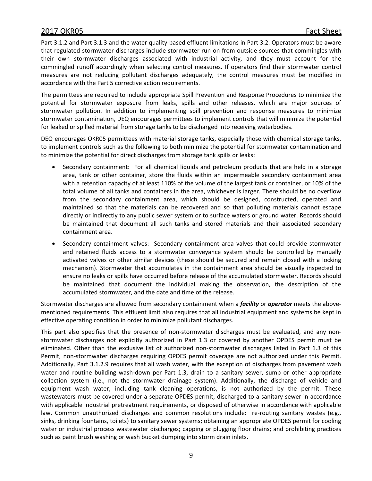Part 3.1.2 and Part 3.1.3 and the water quality-based effluent limitations in Part 3.2. Operators must be aware that regulated stormwater discharges include stormwater run-on from outside sources that commingles with their own stormwater discharges associated with industrial activity, and they must account for the commingled runoff accordingly when selecting control measures. If operators find their stormwater control measures are not reducing pollutant discharges adequately, the control measures must be modified in accordance with the Part 5 corrective action requirements.

The permittees are required to include appropriate Spill Prevention and Response Procedures to minimize the potential for stormwater exposure from leaks, spills and other releases, which are major sources of stormwater pollution. In addition to implementing spill prevention and response measures to minimize stormwater contamination, DEQ encourages permittees to implement controls that will minimize the potential for leaked or spilled material from storage tanks to be discharged into receiving waterbodies.

DEQ encourages OKR05 permittees with material storage tanks, especially those with chemical storage tanks, to implement controls such as the following to both minimize the potential for stormwater contamination and to minimize the potential for direct discharges from storage tank spills or leaks:

- Secondary containment: For all chemical liquids and petroleum products that are held in a storage area, tank or other container, store the fluids within an impermeable secondary containment area with a retention capacity of at least 110% of the volume of the largest tank or container, or 10% of the total volume of all tanks and containers in the area, whichever is larger. There should be no overflow from the secondary containment area, which should be designed, constructed, operated and maintained so that the materials can be recovered and so that polluting materials cannot escape directly or indirectly to any public sewer system or to surface waters or ground water. Records should be maintained that document all such tanks and stored materials and their associated secondary containment area.
- Secondary containment valves: Secondary containment area valves that could provide stormwater and retained fluids access to a stormwater conveyance system should be controlled by manually activated valves or other similar devices (these should be secured and remain closed with a locking mechanism). Stormwater that accumulates in the containment area should be visually inspected to ensure no leaks or spills have occurred before release of the accumulated stormwater. Records should be maintained that document the individual making the observation, the description of the accumulated stormwater, and the date and time of the release.

Stormwater discharges are allowed from secondary containment when a *facility* or *operator* meets the abovementioned requirements. This effluent limit also requires that all industrial equipment and systems be kept in effective operating condition in order to minimize pollutant discharges.

This part also specifies that the presence of non-stormwater discharges must be evaluated, and any nonstormwater discharges not explicitly authorized in Part 1.3 or covered by another OPDES permit must be eliminated. Other than the exclusive list of authorized non-stormwater discharges listed in Part 1.3 of this Permit, non-stormwater discharges requiring OPDES permit coverage are not authorized under this Permit. Additionally, Part 3.1.2.9 requires that all wash water, with the exception of discharges from pavement wash water and routine building wash-down per Part 1.3, drain to a sanitary sewer, sump or other appropriate collection system (i.e., not the stormwater drainage system). Additionally, the discharge of vehicle and equipment wash water, including tank cleaning operations, is not authorized by the permit. These wastewaters must be covered under a separate OPDES permit, discharged to a sanitary sewer in accordance with applicable industrial pretreatment requirements, or disposed of otherwise in accordance with applicable law. Common unauthorized discharges and common resolutions include: re-routing sanitary wastes (e.g., sinks, drinking fountains, toilets) to sanitary sewer systems; obtaining an appropriate OPDES permit for cooling water or industrial process wastewater discharges; capping or plugging floor drains; and prohibiting practices such as paint brush washing or wash bucket dumping into storm drain inlets.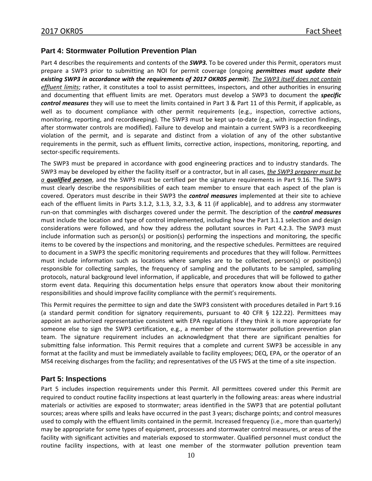#### **Part 4: Stormwater Pollution Prevention Plan**

Part 4 describes the requirements and contents of the *SWP3.* To be covered under this Permit, operators must prepare a SWP3 prior to submitting an NOI for permit coverage (ongoing *permittees must update their existing SWP3 in accordance with the requirements of 2017 OKR05 permit*). *The SWP3 itself does not contain effluent limits*; rather, it constitutes a tool to assist permittees, inspectors, and other authorities in ensuring and documenting that effluent limits are met. Operators must develop a SWP3 to document the *specific control measures* they will use to meet the limits contained in Part 3 & Part 11 of this Permit, if applicable, as well as to document compliance with other permit requirements (e.g., inspection, corrective actions, monitoring, reporting, and recordkeeping). The SWP3 must be kept up-to-date (e.g., with inspection findings, after stormwater controls are modified). Failure to develop and maintain a current SWP3 is a recordkeeping violation of the permit, and is separate and distinct from a violation of any of the other substantive requirements in the permit, such as effluent limits, corrective action, inspections, monitoring, reporting, and sector-specific requirements.

The SWP3 must be prepared in accordance with good engineering practices and to industry standards. The SWP3 may be developed by either the facility itself or a contractor, but in all cases, *the SWP3 preparer must be a qualified person*, and the SWP3 must be certified per the signature requirements in Part 9.16. The SWP3 must clearly describe the responsibilities of each team member to ensure that each aspect of the plan is covered. Operators must describe in their SWP3 the *control measures* implemented at their site to achieve each of the effluent limits in Parts 3.1.2, 3.1.3, 3.2, 3.3, & 11 (if applicable), and to address any stormwater run-on that commingles with discharges covered under the permit. The description of the *control measures* must include the location and type of control implemented, including how the Part 3.1.1 selection and design considerations were followed, and how they address the pollutant sources in Part 4.2.3. The SWP3 must include information such as person(s) or position(s) performing the inspections and monitoring, the specific items to be covered by the inspections and monitoring, and the respective schedules. Permittees are required to document in a SWP3 the specific monitoring requirements and procedures that they will follow. Permittees must include information such as locations where samples are to be collected, person(s) or position(s) responsible for collecting samples, the frequency of sampling and the pollutants to be sampled, sampling protocols, natural background level information, if applicable, and procedures that will be followed to gather storm event data. Requiring this documentation helps ensure that operators know about their monitoring responsibilities and should improve facility compliance with the permit's requirements.

This Permit requires the permittee to sign and date the SWP3 consistent with procedures detailed in Part 9.16 (a standard permit condition for signatory requirements, pursuant to 40 CFR § 122.22). Permittees may appoint an authorized representative consistent with EPA regulations if they think it is more appropriate for someone else to sign the SWP3 certification, e.g., a member of the stormwater pollution prevention plan team. The signature requirement includes an acknowledgment that there are significant penalties for submitting false information. This Permit requires that a complete and current SWP3 be accessible in any format at the facility and must be immediately available to facility employees; DEQ, EPA, or the operator of an MS4 receiving discharges from the facility; and representatives of the US FWS at the time of a site inspection.

#### **Part 5: Inspections**

Part 5 includes inspection requirements under this Permit. All permittees covered under this Permit are required to conduct routine facility inspections at least quarterly in the following areas: areas where industrial materials or activities are exposed to stormwater; areas identified in the SWP3 that are potential pollutant sources; areas where spills and leaks have occurred in the past 3 years; discharge points; and control measures used to comply with the effluent limits contained in the permit. Increased frequency (i.e., more than quarterly) may be appropriate for some types of equipment, processes and stormwater control measures, or areas of the facility with significant activities and materials exposed to stormwater. Qualified personnel must conduct the routine facility inspections, with at least one member of the stormwater pollution prevention team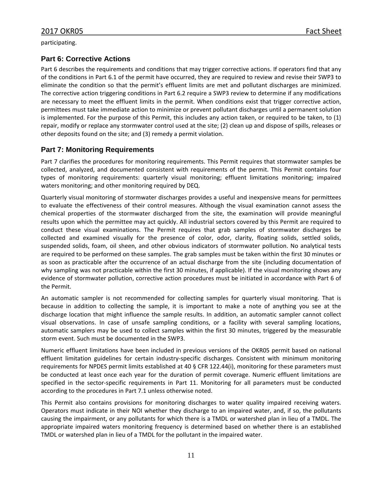#### **Part 6: Corrective Actions**

Part 6 describes the requirements and conditions that may trigger corrective actions. If operators find that any of the conditions in Part 6.1 of the permit have occurred, they are required to review and revise their SWP3 to eliminate the condition so that the permit's effluent limits are met and pollutant discharges are minimized. The corrective action triggering conditions in Part 6.2 require a SWP3 review to determine if any modifications are necessary to meet the effluent limits in the permit. When conditions exist that trigger corrective action, permittees must take immediate action to minimize or prevent pollutant discharges until a permanent solution is implemented. For the purpose of this Permit, this includes any action taken, or required to be taken, to (1) repair, modify or replace any stormwater control used at the site; (2) clean up and dispose of spills, releases or other deposits found on the site; and (3) remedy a permit violation.

# **Part 7: Monitoring Requirements**

Part 7 clarifies the procedures for monitoring requirements. This Permit requires that stormwater samples be collected, analyzed, and documented consistent with requirements of the permit. This Permit contains four types of monitoring requirements: quarterly visual monitoring; effluent limitations monitoring; impaired waters monitoring; and other monitoring required by DEQ.

Quarterly visual monitoring of stormwater discharges provides a useful and inexpensive means for permittees to evaluate the effectiveness of their control measures. Although the visual examination cannot assess the chemical properties of the stormwater discharged from the site, the examination will provide meaningful results upon which the permittee may act quickly. All industrial sectors covered by this Permit are required to conduct these visual examinations. The Permit requires that grab samples of stormwater discharges be collected and examined visually for the presence of color, odor, clarity, floating solids, settled solids, suspended solids, foam, oil sheen, and other obvious indicators of stormwater pollution. No analytical tests are required to be performed on these samples. The grab samples must be taken within the first 30 minutes or as soon as practicable after the occurrence of an actual discharge from the site (including documentation of why sampling was not practicable within the first 30 minutes, if applicable). If the visual monitoring shows any evidence of stormwater pollution, corrective action procedures must be initiated in accordance with Part 6 of the Permit.

An automatic sampler is not recommended for collecting samples for quarterly visual monitoring. That is because in addition to collecting the sample, it is important to make a note of anything you see at the discharge location that might influence the sample results. In addition, an automatic sampler cannot collect visual observations. In case of unsafe sampling conditions, or a facility with several sampling locations, automatic samplers may be used to collect samples within the first 30 minutes, triggered by the measurable storm event. Such must be documented in the SWP3.

Numeric effluent limitations have been included in previous versions of the OKR05 permit based on national effluent limitation guidelines for certain industry-specific discharges. Consistent with minimum monitoring requirements for NPDES permit limits established at 40 § CFR 122.44(i), monitoring for these parameters must be conducted at least once each year for the duration of permit coverage. Numeric effluent limitations are specified in the sector-specific requirements in Part 11. Monitoring for all parameters must be conducted according to the procedures in Part 7.1 unless otherwise noted.

This Permit also contains provisions for monitoring discharges to water quality impaired receiving waters. Operators must indicate in their NOI whether they discharge to an impaired water, and, if so, the pollutants causing the impairment, or any pollutants for which there is a TMDL or watershed plan in lieu of a TMDL. The appropriate impaired waters monitoring frequency is determined based on whether there is an established TMDL or watershed plan in lieu of a TMDL for the pollutant in the impaired water.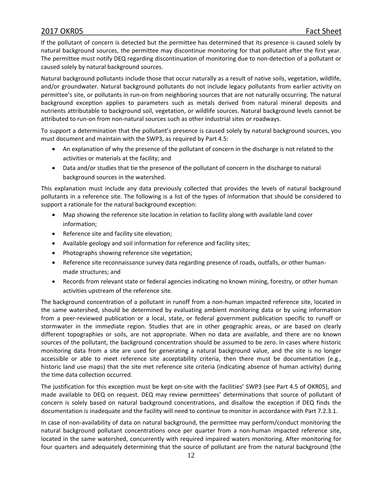If the pollutant of concern is detected but the permittee has determined that its presence is caused solely by natural background sources, the permittee may discontinue monitoring for that pollutant after the first year. The permittee must notify DEQ regarding discontinuation of monitoring due to non-detection of a pollutant or caused solely by natural background sources.

Natural background pollutants include those that occur naturally as a result of native soils, vegetation, wildlife, and/or groundwater. Natural background pollutants do not include legacy pollutants from earlier activity on permittee's site, or pollutants in run-on from neighboring sources that are not naturally occurring. The natural background exception applies to parameters such as metals derived from natural mineral deposits and nutrients attributable to background soil, vegetation, or wildlife sources. Natural background levels cannot be attributed to run-on from non-natural sources such as other industrial sites or roadways.

To support a determination that the pollutant's presence is caused solely by natural background sources, you must document and maintain with the SWP3, as required by Part 4.5:

- An explanation of why the presence of the pollutant of concern in the discharge is not related to the activities or materials at the facility; and
- Data and/or studies that tie the presence of the pollutant of concern in the discharge to natural background sources in the watershed.

This explanation must include any data previously collected that provides the levels of natural background pollutants in a reference site. The following is a list of the types of information that should be considered to support a rationale for the natural background exception:

- Map showing the reference site location in relation to facility along with available land cover information;
- Reference site and facility site elevation;
- Available geology and soil information for reference and facility sites;
- Photographs showing reference site vegetation;
- Reference site reconnaissance survey data regarding presence of roads, outfalls, or other humanmade structures; and
- Records from relevant state or federal agencies indicating no known mining, forestry, or other human activities upstream of the reference site.

The background concentration of a pollutant in runoff from a non-human impacted reference site, located in the same watershed, should be determined by evaluating ambient monitoring data or by using information from a peer-reviewed publication or a local, state, or federal government publication specific to runoff or stormwater in the immediate region. Studies that are in other geographic areas, or are based on clearly different topographies or soils, are not appropriate. When no data are available, and there are no known sources of the pollutant, the background concentration should be assumed to be zero. In cases where historic monitoring data from a site are used for generating a natural background value, and the site is no longer accessible or able to meet reference site acceptability criteria, then there must be documentation (e.g., historic land use maps) that the site met reference site criteria (indicating absence of human activity) during the time data collection occurred.

The justification for this exception must be kept on-site with the facilities' SWP3 (see Part 4.5 of OKR05), and made available to DEQ on request. DEQ may review permittees' determinations that source of pollutant of concern is solely based on natural background concentrations, and disallow the exception if DEQ finds the documentation is inadequate and the facility will need to continue to monitor in accordance with Part 7.2.3.1.

In case of non-availability of data on natural background, the permittee may perform/conduct monitoring the natural background pollutant concentrations once per quarter from a non-human impacted reference site, located in the same watershed, concurrently with required impaired waters monitoring. After monitoring for four quarters and adequately determining that the source of pollutant are from the natural background (the